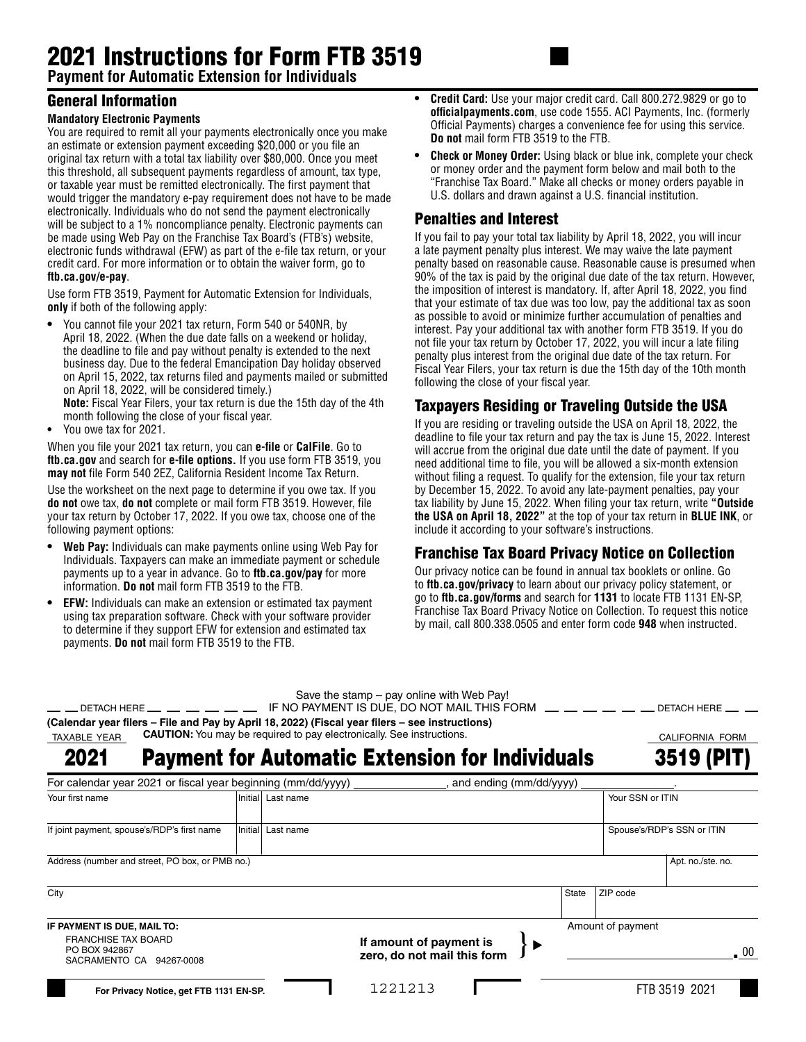# 2021 Instructions for Form FTB 3519

**Payment for Automatic Extension for Individuals**

## General Information

#### **Mandatory Electronic Payments**

You are required to remit all your payments electronically once you make an estimate or extension payment exceeding \$20,000 or you file an original tax return with a total tax liability over \$80,000. Once you meet this threshold, all subsequent payments regardless of amount, tax type, or taxable year must be remitted electronically. The first payment that would trigger the mandatory e-pay requirement does not have to be made electronically. Individuals who do not send the payment electronically will be subject to a 1% noncompliance penalty. Electronic payments can be made using Web Pay on the Franchise Tax Board's (FTB's) website, electronic funds withdrawal (EFW) as part of the e-file tax return, or your credit card. For more information or to obtain the waiver form, go to **ftb.ca.gov/e-pay**.

Use form FTB 3519, Payment for Automatic Extension for Individuals, **only** if both of the following apply:

**•** You cannot file your 2021 tax return, Form 540 or 540NR, by April 18, 2022. (When the due date falls on a weekend or holiday, the deadline to file and pay without penalty is extended to the next business day. Due to the federal Emancipation Day holiday observed on April 15, 2022, tax returns filed and payments mailed or submitted on April 18, 2022, will be considered timely.) **Note:** Fiscal Year Filers, your tax return is due the 15th day of the 4th

month following the close of your fiscal year.

**•** You owe tax for 2021.

When you file your 2021 tax return, you can **e-file** or **CalFile**. Go to **ftb.ca.gov** and search for **e-file options.** If you use form FTB 3519, you **may not** file Form 540 2EZ, California Resident Income Tax Return.

Use the worksheet on the next page to determine if you owe tax. If you **do not** owe tax, **do not** complete or mail form FTB 3519. However, file your tax return by October 17, 2022. If you owe tax, choose one of the following payment options:

- **• Web Pay:** Individuals can make payments online using Web Pay for Individuals. Taxpayers can make an immediate payment or schedule payments up to a year in advance. Go to **ftb.ca.gov/pay** for more information. **Do not** mail form FTB 3519 to the FTB.
- **• EFW:** Individuals can make an extension or estimated tax payment using tax preparation software. Check with your software provider to determine if they support EFW for extension and estimated tax payments. **Do not** mail form FTB 3519 to the FTB.
- **• Credit Card:** Use your major credit card. Call 800.272.9829 or go to **officialpayments.com**, use code 1555. ACI Payments, Inc. (formerly Official Payments) charges a convenience fee for using this service. **Do not** mail form FTB 3519 to the FTB.
- **Check or Money Order:** Using black or blue ink, complete your check or money order and the payment form below and mail both to the "Franchise Tax Board." Make all checks or money orders payable in U.S. dollars and drawn against a U.S. financial institution.

#### Penalties and Interest

If you fail to pay your total tax liability by April 18, 2022, you will incur a late payment penalty plus interest. We may waive the late payment penalty based on reasonable cause. Reasonable cause is presumed when 90% of the tax is paid by the original due date of the tax return. However, the imposition of interest is mandatory. If, after April 18, 2022, you find that your estimate of tax due was too low, pay the additional tax as soon as possible to avoid or minimize further accumulation of penalties and interest. Pay your additional tax with another form FTB 3519. If you do not file your tax return by October 17, 2022, you will incur a late filing penalty plus interest from the original due date of the tax return. For Fiscal Year Filers, your tax return is due the 15th day of the 10th month following the close of your fiscal year.

# Taxpayers Residing or Traveling Outside the USA

If you are residing or traveling outside the USA on April 18, 2022, the deadline to file your tax return and pay the tax is June 15, 2022. Interest will accrue from the original due date until the date of payment. If you need additional time to file, you will be allowed a six-month extension without filing a request. To qualify for the extension, file your tax return by December 15, 2022. To avoid any late-payment penalties, pay your tax liability by June 15, 2022. When filing your tax return, write **"Outside the USA on April 18, 2022"** at the top of your tax return in **BLUE INK**, or include it according to your software's instructions.

# Franchise Tax Board Privacy Notice on Collection

Our privacy notice can be found in annual tax booklets or online. Go to **ftb.ca.gov/privacy** to learn about our privacy policy statement, or go to **ftb.ca.gov/forms** and search for **1131** to locate FTB 1131 EN-SP, Franchise Tax Board Privacy Notice on Collection. To request this notice by mail, call 800.338.0505 and enter form code **948** when instructed.

#### Save the stamp – pay online with Web Pay!

|              | $\alpha$ out the start pay of the vital victor $\alpha$ .                                               |                 |
|--------------|---------------------------------------------------------------------------------------------------------|-----------------|
|              | — — DETACH HERE — — — — — — — IF NO PAYMENT IS DUE. DO NOT MAIL THIS FORM — — — — — — — DETACH HERE — – |                 |
|              | (Calendar year filers – File and Pay by April 18, 2022) (Fiscal year filers – see instructions)         |                 |
| TAXABLE YEAR | <b>CAUTION:</b> You may be required to pay electronically. See instructions.                            | CALIFORNIA FORM |

Payment for Automatic Extension for Individuals 3519 (PI 2021

| For calendar year 2021 or fiscal year beginning (mm/dd/yyyy)<br>and ending (mm/dd/yyyy) |  |                   |                                                        |       |                            |                   |  |
|-----------------------------------------------------------------------------------------|--|-------------------|--------------------------------------------------------|-------|----------------------------|-------------------|--|
| Your first name                                                                         |  | Initial Last name |                                                        |       |                            | Your SSN or ITIN  |  |
| If joint payment, spouse's/RDP's first name                                             |  | Initial Last name |                                                        |       | Spouse's/RDP's SSN or ITIN |                   |  |
| Address (number and street, PO box, or PMB no.)                                         |  |                   |                                                        |       |                            | Apt. no./ste. no. |  |
| City                                                                                    |  |                   |                                                        | State | ZIP code                   |                   |  |
| IF PAYMENT IS DUE, MAIL TO:                                                             |  |                   |                                                        |       | Amount of payment          |                   |  |
| <b>FRANCHISE TAX BOARD</b><br>PO BOX 942867<br>SACRAMENTO CA 94267-0008                 |  |                   | If amount of payment is<br>zero, do not mail this form |       |                            | $\sqrt{0}$        |  |
| For Privacy Notice, get FTB 1131 EN-SP.                                                 |  |                   | 1221213                                                |       |                            | FTB 3519 2021     |  |